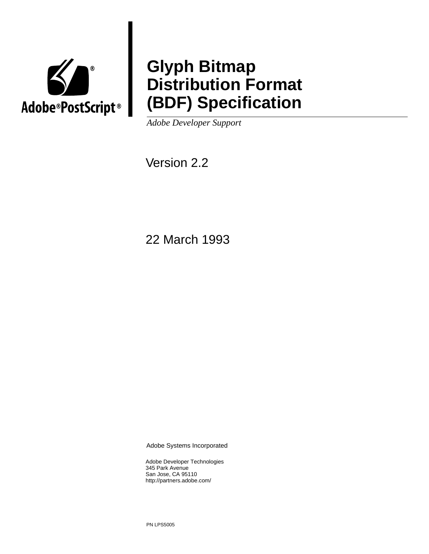

## **Glyph Bitmap Distribution Format (BDF) Specification**

*Adobe Developer Support* 

Version 2.2

22 March 1993

Adobe Systems Incorporated

Adobe Developer Technologies 345 Park Avenue San Jose, CA 95110 http://partners.adobe.com/

PN LPS5005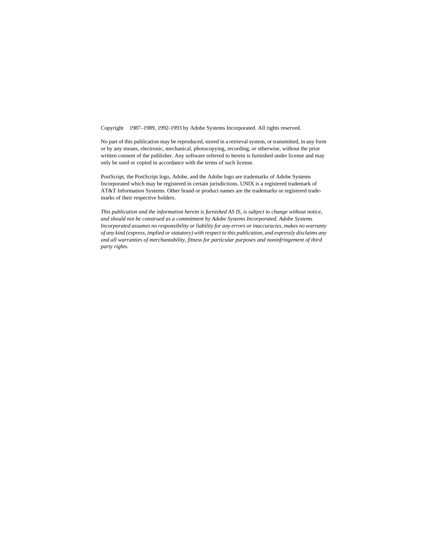Copyright 1987–1989, 1992-1993 by Adobe Systems Incorporated. All rights reserved.

No part of this publication may be reproduced, stored in a retrieval system, or transmitted, in any form or by any means, electronic, mechanical, photocopying, recording, or otherwise, without the prior written consent of the publisher. Any software referred to herein is furnished under license and may only be used or copied in accordance with the terms of such license.

PostScript, the PostScript logo, Adobe, and the Adobe logo are trademarks of Adobe Systems Incorporated which may be registered in certain jurisdictions. UNIX is a registered trademark of AT&T Information Systems. Other brand or product names are the trademarks or registered trademarks of their respective holders.

*This publication and the information herein is furnished AS IS, is subject to change without notice, and should not be construed as a commitment by Adobe Systems Incorporated. Adobe Systems Incorporated assumes no responsibility or liability for any errors or inaccuracies, makes no warranty of any kind (express, implied or statutory) with respect to this publication, and expressly disclaims any and all warranties of merchantability, fitness for particular purposes and noninfringement of third party rights.*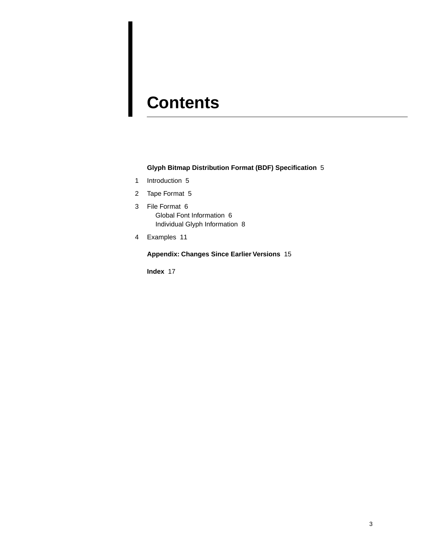## **Contents**

### **[Glyph Bitmap Distribution Format \(BDF\) Specification](#page-4-0)** 5

- [1 Introduction 5](#page-4-1)
- [2 Tape Format 5](#page-4-2)
- [3 File Format 6](#page-5-0) [Global Font Information 6](#page-5-1) [Individual Glyph Information 8](#page-7-0)
- [4 Examples 11](#page-10-0)

**[Appendix: Changes Since Earlier Versions](#page-14-0)** 15

**[Index](#page-16-0)** 17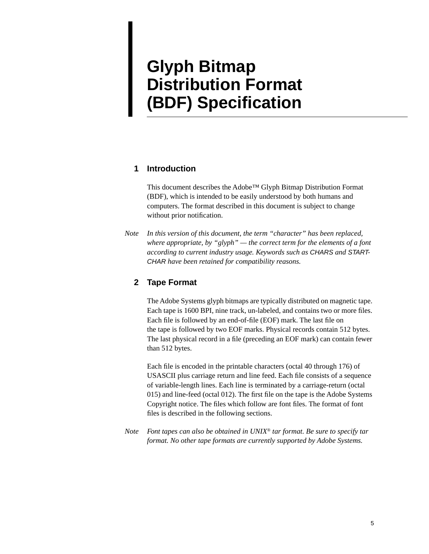# <span id="page-4-0"></span>**Glyph Bitmap Distribution Format (BDF) Specification**

## <span id="page-4-1"></span>**1 Introduction**

This document describes the Adobe™ Glyph Bitmap Distribution Format (BDF), which is intended to be easily understood by both humans and computers. The format described in this document is subject to change without prior notification.

*Note In this version of this document, the term "character" has been replaced, where appropriate, by "glyph" — the correct term for the elements of a font according to current industry usage. Keywords such as* CHARS *and* START-CHAR *have been retained for compatibility reasons.*

## <span id="page-4-2"></span>**2 Tape Format**

The Adobe Systems glyph bitmaps are typically distributed on magnetic tape. Each tape is 1600 BPI, nine track, un-labeled, and contains two or more files. Each file is followed by an end-of-file (EOF) mark. The last file on the tape is followed by two EOF marks. Physical records contain 512 bytes. The last physical record in a file (preceding an EOF mark) can contain fewer than 512 bytes.

Each file is encoded in the printable characters (octal 40 through 176) of USASCII plus carriage return and line feed. Each file consists of a sequence of variable-length lines. Each line is terminated by a carriage-return (octal 015) and line-feed (octal 012). The first file on the tape is the Adobe Systems Copyright notice. The files which follow are font files. The format of font files is described in the following sections.

*Note Font tapes can also be obtained in UNIX*® *tar format. Be sure to specify tar format. No other tape formats are currently supported by Adobe Systems.*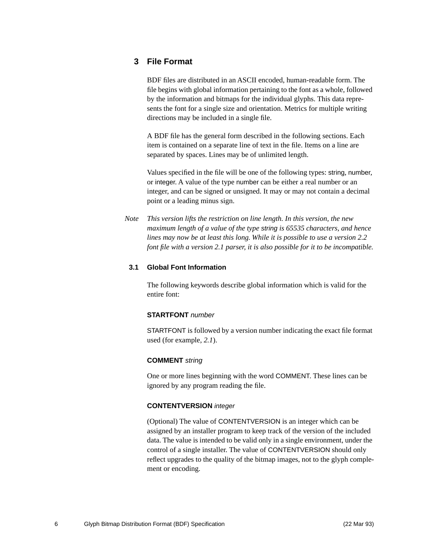## <span id="page-5-0"></span>**3 File Format**

BDF files are distributed in an ASCII encoded, human-readable form. The file begins with global information pertaining to the font as a whole, followed by the information and bitmaps for the individual glyphs. This data represents the font for a single size and orientation. Metrics for multiple writing directions may be included in a single file.

A BDF file has the general form described in the following sections. Each item is contained on a separate line of text in the file. Items on a line are separated by spaces. Lines may be of unlimited length.

Values specified in the file will be one of the following types: string, number, or integer. A value of the type number can be either a real number or an integer, and can be signed or unsigned. It may or may not contain a decimal point or a leading minus sign.

*Note This version lifts the restriction on line length. In this version, the new maximum length of a value of the type* string *is 65535 characters, and hence lines may now be at least this long. While it is possible to use a version 2.2 font file with a version 2.1 parser, it is also possible for it to be incompatible.*

#### <span id="page-5-1"></span>**3.1 Global Font Information**

The following keywords describe global information which is valid for the entire font:

#### **STARTFONT** number

STARTFONT is followed by a version number indicating the exact file format used (for example, *2.1*).

#### **COMMENT** string

One or more lines beginning with the word COMMENT. These lines can be ignored by any program reading the file.

#### **CONTENTVERSION** integer

(Optional) The value of CONTENTVERSION is an integer which can be assigned by an installer program to keep track of the version of the included data. The value is intended to be valid only in a single environment, under the control of a single installer. The value of CONTENTVERSION should only reflect upgrades to the quality of the bitmap images, not to the glyph complement or encoding.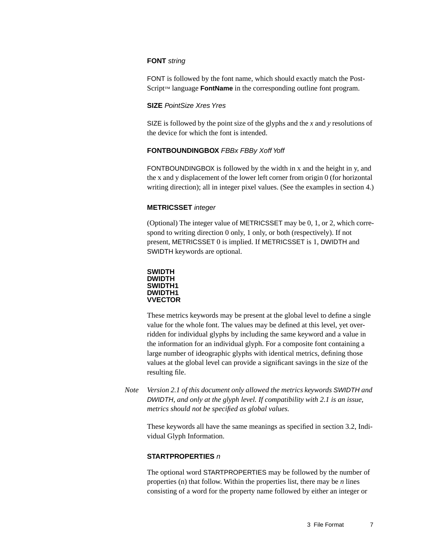#### **FONT** string

FONT is followed by the font name, which should exactly match the Post-Script<sup>™</sup> language **FontName** in the corresponding outline font program.

#### **SIZE** PointSize Xres Yres

SIZE is followed by the point size of the glyphs and the *x* and *y* resolutions of the device for which the font is intended.

#### **FONTBOUNDINGBOX** FBBx FBBy Xoff Yoff

FONTBOUNDINGBOX is followed by the width in x and the height in y, and the x and y displacement of the lower left corner from origin 0 (for horizontal writing direction); all in integer pixel values. (See the examples in [section 4.](#page-10-0))

#### **METRICSSET** integer

(Optional) The integer value of METRICSSET may be 0, 1, or 2, which correspond to writing direction 0 only, 1 only, or both (respectively). If not present, METRICSSET 0 is implied. If METRICSSET is 1, DWIDTH and SWIDTH keywords are optional.



These metrics keywords may be present at the global level to define a single value for the whole font. The values may be defined at this level, yet overridden for individual glyphs by including the same keyword and a value in the information for an individual glyph. For a composite font containing a large number of ideographic glyphs with identical metrics, defining those values at the global level can provide a significant savings in the size of the resulting file.

*Note Version 2.1 of this document only allowed the metrics keywords* SWIDTH *and*  DWIDTH*, and only at the glyph level. If compatibility with 2.1 is an issue, metrics should not be specified as global values.*

These keywords all have the same meanings as specified in section [3.2](#page-7-0), Individual Glyph Information.

#### **STARTPROPERTIES** n

The optional word STARTPROPERTIES may be followed by the number of properties (n) that follow. Within the properties list, there may be *n* lines consisting of a word for the property name followed by either an integer or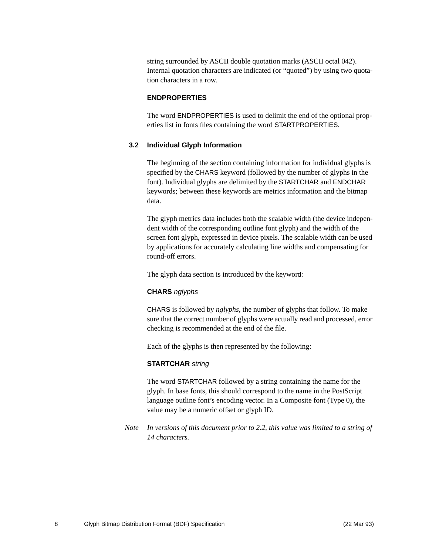string surrounded by ASCII double quotation marks (ASCII octal 042). Internal quotation characters are indicated (or "quoted") by using two quotation characters in a row.

#### **ENDPROPERTIES**

The word ENDPROPERTIES is used to delimit the end of the optional properties list in fonts files containing the word STARTPROPERTIES.

#### <span id="page-7-0"></span>**3.2 Individual Glyph Information**

The beginning of the section containing information for individual glyphs is specified by the CHARS keyword (followed by the number of glyphs in the font). Individual glyphs are delimited by the STARTCHAR and ENDCHAR keywords; between these keywords are metrics information and the bitmap data.

The glyph metrics data includes both the scalable width (the device independent width of the corresponding outline font glyph) and the width of the screen font glyph, expressed in device pixels. The scalable width can be used by applications for accurately calculating line widths and compensating for round-off errors.

The glyph data section is introduced by the keyword:

#### **CHARS** nglyphs

CHARS is followed by *nglyphs*, the number of glyphs that follow. To make sure that the correct number of glyphs were actually read and processed, error checking is recommended at the end of the file.

Each of the glyphs is then represented by the following:

#### **STARTCHAR** string

The word STARTCHAR followed by a string containing the name for the glyph. In base fonts, this should correspond to the name in the PostScript language outline font's encoding vector. In a Composite font (Type 0), the value may be a numeric offset or glyph ID.

*Note In versions of this document prior to 2.2, this value was limited to a string of 14 characters.*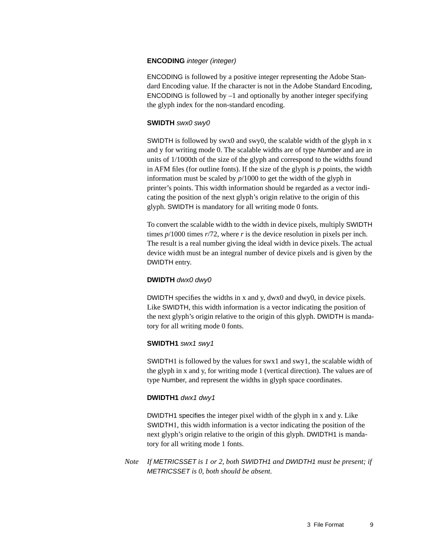#### **ENCODING** integer (integer)

ENCODING is followed by a positive integer representing the Adobe Standard Encoding value. If the character is not in the Adobe Standard Encoding, **ENCODING** is followed by  $-1$  and optionally by another integer specifying the glyph index for the non-standard encoding.

#### **SWIDTH** swx0 swy0

SWIDTH is followed by swx0 and swy0, the scalable width of the glyph in x and y for writing mode 0. The scalable widths are of type Number and are in units of 1/1000th of the size of the glyph and correspond to the widths found in AFM files (for outline fonts). If the size of the glyph is *p* points, the width information must be scaled by *p*/1000 to get the width of the glyph in printer's points. This width information should be regarded as a vector indicating the position of the next glyph's origin relative to the origin of this glyph. SWIDTH is mandatory for all writing mode 0 fonts.

To convert the scalable width to the width in device pixels, multiply SWIDTH times  $p/1000$  times  $r/72$ , where *r* is the device resolution in pixels per inch. The result is a real number giving the ideal width in device pixels. The actual device width must be an integral number of device pixels and is given by the DWIDTH entry.

#### **DWIDTH** dwx0 dwy0

DWIDTH specifies the widths in x and y, dwx0 and dwy0, in device pixels. Like SWIDTH, this width information is a vector indicating the position of the next glyph's origin relative to the origin of this glyph. DWIDTH is mandatory for all writing mode 0 fonts.

#### **SWIDTH1** swx1 swy1

SWIDTH1 is followed by the values for swx1 and swy1, the scalable width of the glyph in x and y, for writing mode 1 (vertical direction). The values are of type Number, and represent the widths in glyph space coordinates.

#### **DWIDTH1** dwx1 dwy1

DWIDTH1 specifies the integer pixel width of the glyph in x and y. Like SWIDTH1, this width information is a vector indicating the position of the next glyph's origin relative to the origin of this glyph. DWIDTH1 is mandatory for all writing mode 1 fonts.

*Note If* METRICSSET *is 1 or 2, both* SWIDTH1 *and* DWIDTH1 *must be present; if*  METRICSSET *is 0, both should be absent.*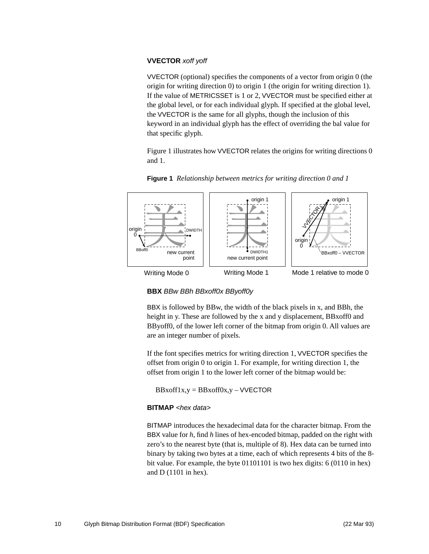#### **VVECTOR** xoff yoff

VVECTOR (optional) specifies the components of a vector from origin 0 (the origin for writing direction 0) to origin 1 (the origin for writing direction 1). If the value of METRICSSET is 1 or 2, VVECTOR must be specified either at the global level, or for each individual glyph. If specified at the global level, the VVECTOR is the same for all glyphs, though the inclusion of this keyword in an individual glyph has the effect of overriding the bal value for that specific glyph.

Figure 1 illustrates how VVECTOR relates the origins for writing directions 0 and 1.



**Figure 1** *Relationship between metrics for writing direction 0 and 1*

**BBX** BBw BBh BBxoff0x BByoff0y

BBX is followed by BBw, the width of the black pixels in x, and BBh, the height in y. These are followed by the x and y displacement, BBxoff0 and BByoff0, of the lower left corner of the bitmap from origin 0. All values are are an integer number of pixels.

If the font specifies metrics for writing direction 1, VVECTOR specifies the offset from origin 0 to origin 1. For example, for writing direction 1, the offset from origin 1 to the lower left corner of the bitmap would be:

 $BBxoff1x,y = BBxoff0x,y - VVECTOR$ 

#### **BITMAP** <hex data>

BITMAP introduces the hexadecimal data for the character bitmap. From the BBX value for *h*, find *h* lines of hex-encoded bitmap, padded on the right with zero's to the nearest byte (that is, multiple of 8). Hex data can be turned into binary by taking two bytes at a time, each of which represents 4 bits of the 8 bit value. For example, the byte 01101101 is two hex digits: 6 (0110 in hex) and D (1101 in hex).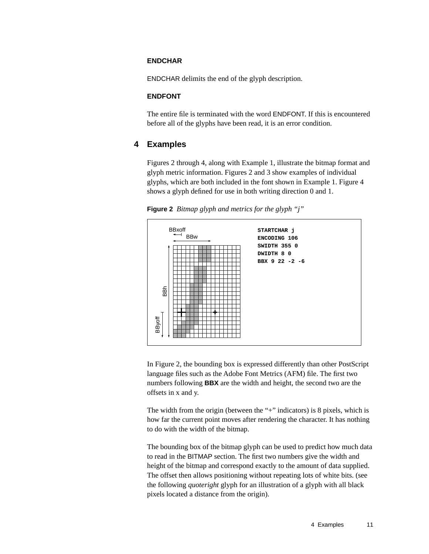#### **ENDCHAR**

ENDCHAR delimits the end of the glyph description.

#### **ENDFONT**

The entire file is terminated with the word ENDFONT. If this is encountered before all of the glyphs have been read, it is an error condition.

### <span id="page-10-0"></span>**4 Examples**

Figures 2 through 4, along with Example 1, illustrate the bitmap format and glyph metric information. Figures 2 and 3 show examples of individual glyphs, which are both included in the font shown in Example 1. Figure 4 shows a glyph defined for use in both writing direction 0 and 1.

**Figure 2** *Bitmap glyph and metrics for the glyph "j"*

<span id="page-10-1"></span>

In [Figure 2,](#page-10-1) the bounding box is expressed differently than other PostScript language files such as the Adobe Font Metrics (AFM) file. The first two numbers following **BBX** are the width and height, the second two are the offsets in x and y.

The width from the origin (between the "+" indicators) is 8 pixels, which is how far the current point moves after rendering the character. It has nothing to do with the width of the bitmap.

The bounding box of the bitmap glyph can be used to predict how much data to read in the BITMAP section. The first two numbers give the width and height of the bitmap and correspond exactly to the amount of data supplied. The offset then allows positioning without repeating lots of white bits. (see the following *quoteright* glyph for an illustration of a glyph with all black pixels located a distance from the origin).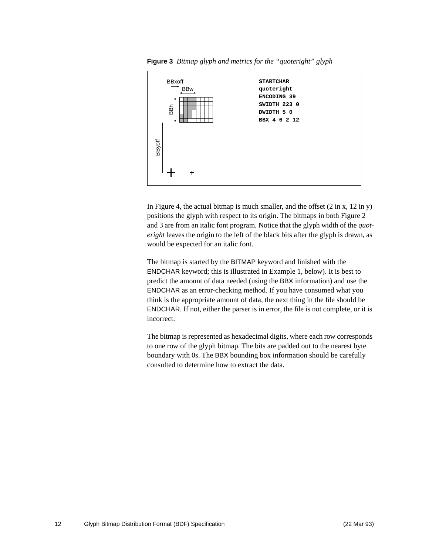



In [Figure 4](#page-12-0), the actual bitmap is much smaller, and the offset  $(2 \text{ in } x, 12 \text{ in } y)$ positions the glyph with respect to its origin. The bitmaps in both Figure 2 and 3 are from an italic font program. Notice that the glyph width of the *quoteright* leaves the origin to the left of the black bits after the glyph is drawn, as would be expected for an italic font.

The bitmap is started by the BITMAP keyword and finished with the ENDCHAR keyword; this is illustrated in Example 1, below). It is best to predict the amount of data needed (using the BBX information) and use the ENDCHAR as an error-checking method. If you have consumed what you think is the appropriate amount of data, the next thing in the file should be ENDCHAR. If not, either the parser is in error, the file is not complete, or it is incorrect.

The bitmap is represented as hexadecimal digits, where each row corresponds to one row of the glyph bitmap. The bits are padded out to the nearest byte boundary with 0s. The BBX bounding box information should be carefully consulted to determine how to extract the data.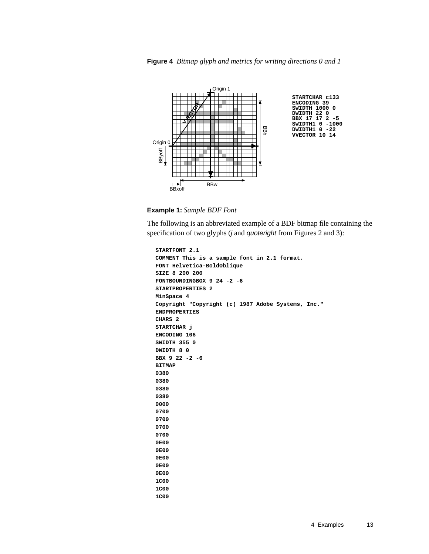<span id="page-12-0"></span>

**Example 1:** *Sample BDF Font*

The following is an abbreviated example of a BDF bitmap file containing the specification of two glyphs (j and quoteright from Figures 2 and 3):

```
STARTFONT 2.1
COMMENT This is a sample font in 2.1 format.
FONT Helvetica-BoldOblique
SIZE 8 200 200
FONTBOUNDINGBOX 9 24 -2 -6
STARTPROPERTIES 2
MinSpace 4
Copyright "Copyright (c) 1987 Adobe Systems, Inc."
ENDPROPERTIES
CHARS 2
STARTCHAR j
ENCODING 106
SWIDTH 355 0
DWIDTH 8 0
BBX 9 22 -2 -6
BITMAP
0380
0380
0380
0380
0000
0700
0700
0700
0700
0E00
0E00
0E00
0E00
0E00
1C00
1C00
1C00
```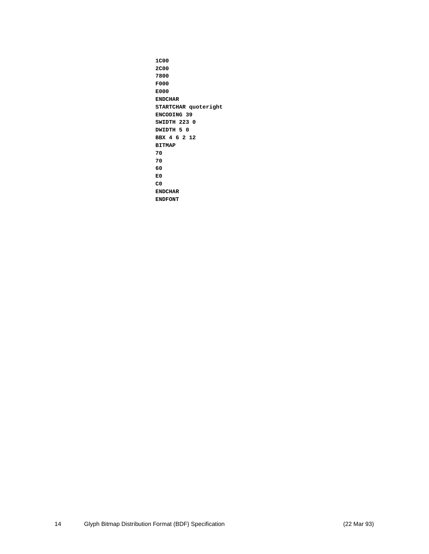**1C00 2C00 7800 F000 E000 ENDCHAR STARTCHAR quoteright ENCODING 39 SWIDTH 223 0 DWIDTH 5 0 BBX 4 6 2 12 BITMAP 70 70 60 E0 C0 ENDCHAR ENDFONT**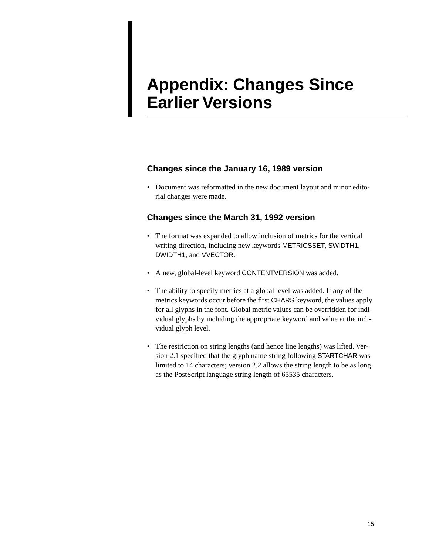## <span id="page-14-0"></span>**Appendix: Changes Since Earlier Versions**

## **Changes since the January 16, 1989 version**

• Document was reformatted in the new document layout and minor editorial changes were made.

### **Changes since the March 31, 1992 version**

- The format was expanded to allow inclusion of metrics for the vertical writing direction, including new keywords METRICSSET, SWIDTH1, DWIDTH1, and VVECTOR.
- A new, global-level keyword CONTENTVERSION was added.
- The ability to specify metrics at a global level was added. If any of the metrics keywords occur before the first CHARS keyword, the values apply for all glyphs in the font. Global metric values can be overridden for individual glyphs by including the appropriate keyword and value at the individual glyph level.
- The restriction on string lengths (and hence line lengths) was lifted. Version 2.1 specified that the glyph name string following STARTCHAR was limited to 14 characters; version 2.2 allows the string length to be as long as the PostScript language string length of 65535 characters.